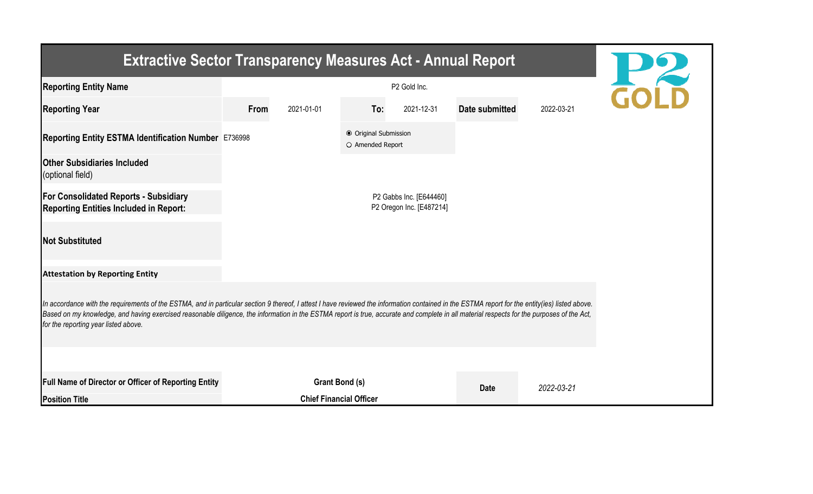| <b>Extractive Sector Transparency Measures Act - Annual Report</b>                                                                                                                                                                                                                                                                                                                                                                    |                                                     |                                |                                                  |            |                |            |  |  |  |  |  |
|---------------------------------------------------------------------------------------------------------------------------------------------------------------------------------------------------------------------------------------------------------------------------------------------------------------------------------------------------------------------------------------------------------------------------------------|-----------------------------------------------------|--------------------------------|--------------------------------------------------|------------|----------------|------------|--|--|--|--|--|
| <b>Reporting Entity Name</b>                                                                                                                                                                                                                                                                                                                                                                                                          |                                                     | <b>H22</b>                     |                                                  |            |                |            |  |  |  |  |  |
| <b>Reporting Year</b>                                                                                                                                                                                                                                                                                                                                                                                                                 | From                                                | 2021-01-01                     | To:                                              | 2021-12-31 | Date submitted | 2022-03-21 |  |  |  |  |  |
| Reporting Entity ESTMA Identification Number E736998                                                                                                                                                                                                                                                                                                                                                                                  |                                                     |                                | <b>● Original Submission</b><br>O Amended Report |            |                |            |  |  |  |  |  |
| <b>Other Subsidiaries Included</b><br>(optional field)                                                                                                                                                                                                                                                                                                                                                                                |                                                     |                                |                                                  |            |                |            |  |  |  |  |  |
| <b>For Consolidated Reports - Subsidiary</b><br><b>Reporting Entities Included in Report:</b>                                                                                                                                                                                                                                                                                                                                         | P2 Gabbs Inc. [E644460]<br>P2 Oregon Inc. [E487214] |                                |                                                  |            |                |            |  |  |  |  |  |
| <b>Not Substituted</b>                                                                                                                                                                                                                                                                                                                                                                                                                |                                                     |                                |                                                  |            |                |            |  |  |  |  |  |
| <b>Attestation by Reporting Entity</b>                                                                                                                                                                                                                                                                                                                                                                                                |                                                     |                                |                                                  |            |                |            |  |  |  |  |  |
| In accordance with the requirements of the ESTMA, and in particular section 9 thereof, I attest I have reviewed the information contained in the ESTMA report for the entity(ies) listed above.<br>Based on my knowledge, and having exercised reasonable diligence, the information in the ESTMA report is true, accurate and complete in all material respects for the purposes of the Act,<br>for the reporting year listed above. |                                                     |                                |                                                  |            |                |            |  |  |  |  |  |
|                                                                                                                                                                                                                                                                                                                                                                                                                                       |                                                     |                                |                                                  |            |                |            |  |  |  |  |  |
| Full Name of Director or Officer of Reporting Entity                                                                                                                                                                                                                                                                                                                                                                                  | Grant Bond (s)                                      |                                |                                                  |            | <b>Date</b>    | 2022-03-21 |  |  |  |  |  |
| <b>Position Title</b>                                                                                                                                                                                                                                                                                                                                                                                                                 |                                                     | <b>Chief Financial Officer</b> |                                                  |            |                |            |  |  |  |  |  |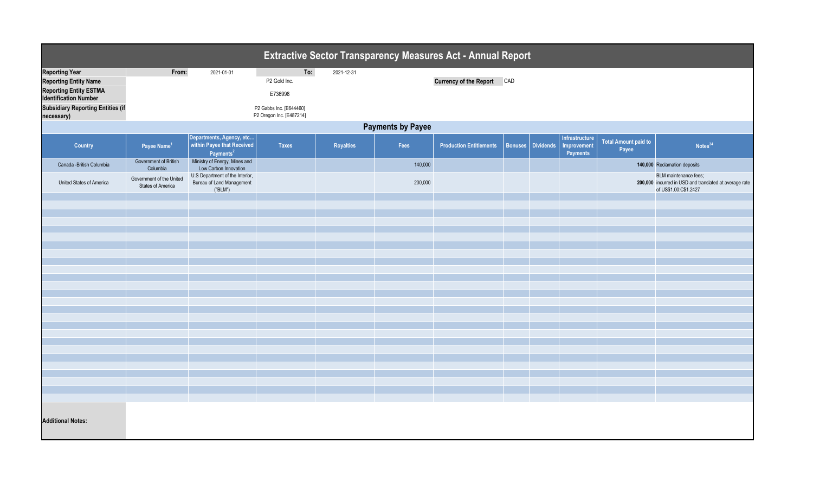| <b>Extractive Sector Transparency Measures Act - Annual Report</b>                                                                                                               |                                                      |                                                                                 |                                                                                       |                  |         |                                   |  |                          |                                                  |                                      |                                                                                                          |  |
|----------------------------------------------------------------------------------------------------------------------------------------------------------------------------------|------------------------------------------------------|---------------------------------------------------------------------------------|---------------------------------------------------------------------------------------|------------------|---------|-----------------------------------|--|--------------------------|--------------------------------------------------|--------------------------------------|----------------------------------------------------------------------------------------------------------|--|
| <b>Reporting Year</b><br><b>Reporting Entity Name</b><br><b>Reporting Entity ESTMA</b><br><b>Identification Number</b><br><b>Subsidiary Reporting Entities (if</b><br>necessary) | From:                                                | 2021-01-01                                                                      | To:<br>P2 Gold Inc.<br>E736998<br>P2 Gabbs Inc. [E644460]<br>P2 Oregon Inc. [E487214] | 2021-12-31       |         | <b>Currency of the Report CAD</b> |  |                          |                                                  |                                      |                                                                                                          |  |
| <b>Payments by Payee</b>                                                                                                                                                         |                                                      |                                                                                 |                                                                                       |                  |         |                                   |  |                          |                                                  |                                      |                                                                                                          |  |
| Country                                                                                                                                                                          | Payee Name <sup>1</sup>                              | Departments, Agency, etc<br>within Payee that Received<br>Payments <sup>2</sup> | Taxes                                                                                 | <b>Royalties</b> | Fees    | <b>Production Entitlements</b>    |  | <b>Bonuses</b> Dividends | Infrastructure<br>Improvement<br><b>Payments</b> | <b>Total Amount paid to</b><br>Payee | Notes <sup>34</sup>                                                                                      |  |
| Canada - British Columbia                                                                                                                                                        | Government of British<br>Columbia                    | Ministry of Energy, Mines and<br>Low Carbon Innovation                          |                                                                                       |                  | 140,000 |                                   |  |                          |                                                  |                                      | 140,000 Reclamation deposits                                                                             |  |
| United States of America                                                                                                                                                         | Government of the United<br><b>States of America</b> | U.S Department of the Interior,<br>Bureau of Land Management<br>("BLM")         |                                                                                       |                  | 200,000 |                                   |  |                          |                                                  |                                      | BLM maintenance fees;<br>200,000 incurred in USD and translated at average rate<br>of US\$1.00:C\$1.2427 |  |
|                                                                                                                                                                                  |                                                      |                                                                                 |                                                                                       |                  |         |                                   |  |                          |                                                  |                                      |                                                                                                          |  |
|                                                                                                                                                                                  |                                                      |                                                                                 |                                                                                       |                  |         |                                   |  |                          |                                                  |                                      |                                                                                                          |  |
|                                                                                                                                                                                  |                                                      |                                                                                 |                                                                                       |                  |         |                                   |  |                          |                                                  |                                      |                                                                                                          |  |
|                                                                                                                                                                                  |                                                      |                                                                                 |                                                                                       |                  |         |                                   |  |                          |                                                  |                                      |                                                                                                          |  |
|                                                                                                                                                                                  |                                                      |                                                                                 |                                                                                       |                  |         |                                   |  |                          |                                                  |                                      |                                                                                                          |  |
|                                                                                                                                                                                  |                                                      |                                                                                 |                                                                                       |                  |         |                                   |  |                          |                                                  |                                      |                                                                                                          |  |
|                                                                                                                                                                                  |                                                      |                                                                                 |                                                                                       |                  |         |                                   |  |                          |                                                  |                                      |                                                                                                          |  |
|                                                                                                                                                                                  |                                                      |                                                                                 |                                                                                       |                  |         |                                   |  |                          |                                                  |                                      |                                                                                                          |  |
|                                                                                                                                                                                  |                                                      |                                                                                 |                                                                                       |                  |         |                                   |  |                          |                                                  |                                      |                                                                                                          |  |
|                                                                                                                                                                                  |                                                      |                                                                                 |                                                                                       |                  |         |                                   |  |                          |                                                  |                                      |                                                                                                          |  |
|                                                                                                                                                                                  |                                                      |                                                                                 |                                                                                       |                  |         |                                   |  |                          |                                                  |                                      |                                                                                                          |  |
|                                                                                                                                                                                  |                                                      |                                                                                 |                                                                                       |                  |         |                                   |  |                          |                                                  |                                      |                                                                                                          |  |
|                                                                                                                                                                                  |                                                      |                                                                                 |                                                                                       |                  |         |                                   |  |                          |                                                  |                                      |                                                                                                          |  |
|                                                                                                                                                                                  |                                                      |                                                                                 |                                                                                       |                  |         |                                   |  |                          |                                                  |                                      |                                                                                                          |  |
|                                                                                                                                                                                  |                                                      |                                                                                 |                                                                                       |                  |         |                                   |  |                          |                                                  |                                      |                                                                                                          |  |
|                                                                                                                                                                                  |                                                      |                                                                                 |                                                                                       |                  |         |                                   |  |                          |                                                  |                                      |                                                                                                          |  |
|                                                                                                                                                                                  |                                                      |                                                                                 |                                                                                       |                  |         |                                   |  |                          |                                                  |                                      |                                                                                                          |  |
| <b>Additional Notes:</b>                                                                                                                                                         |                                                      |                                                                                 |                                                                                       |                  |         |                                   |  |                          |                                                  |                                      |                                                                                                          |  |